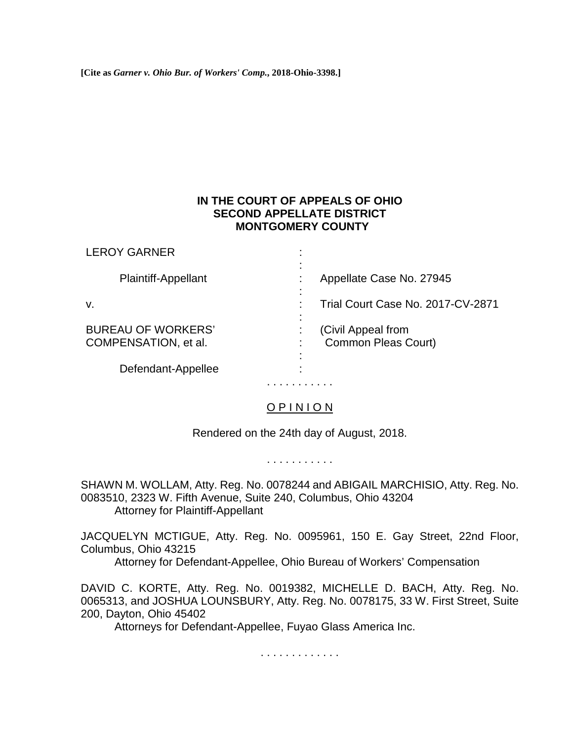**[Cite as** *Garner v. Ohio Bur. of Workers' Comp.***, 2018-Ohio-3398.]**

## **IN THE COURT OF APPEALS OF OHIO SECOND APPELLATE DISTRICT MONTGOMERY COUNTY**

| <b>LEROY GARNER</b>                               |                                                  |
|---------------------------------------------------|--------------------------------------------------|
| <b>Plaintiff-Appellant</b>                        | Appellate Case No. 27945                         |
| v.                                                | Trial Court Case No. 2017-CV-2871                |
| <b>BUREAU OF WORKERS'</b><br>COMPENSATION, et al. | (Civil Appeal from<br><b>Common Pleas Court)</b> |
| Defendant-Appellee                                |                                                  |

# O P I N I O N

. . . . . . . . . . .

Rendered on the 24th day of August, 2018.

. . . . . . . . . . .

SHAWN M. WOLLAM, Atty. Reg. No. 0078244 and ABIGAIL MARCHISIO, Atty. Reg. No. 0083510, 2323 W. Fifth Avenue, Suite 240, Columbus, Ohio 43204 Attorney for Plaintiff-Appellant

JACQUELYN MCTIGUE, Atty. Reg. No. 0095961, 150 E. Gay Street, 22nd Floor, Columbus, Ohio 43215

Attorney for Defendant-Appellee, Ohio Bureau of Workers' Compensation

DAVID C. KORTE, Atty. Reg. No. 0019382, MICHELLE D. BACH, Atty. Reg. No. 0065313, and JOSHUA LOUNSBURY, Atty. Reg. No. 0078175, 33 W. First Street, Suite 200, Dayton, Ohio 45402

Attorneys for Defendant-Appellee, Fuyao Glass America Inc.

. . . . . . . . . . . . .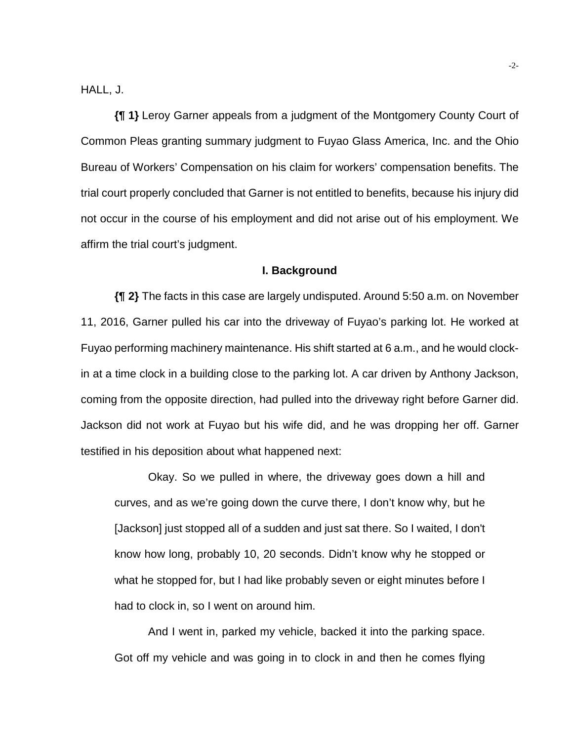HALL, J.

**{¶ 1}** Leroy Garner appeals from a judgment of the Montgomery County Court of Common Pleas granting summary judgment to Fuyao Glass America, Inc. and the Ohio Bureau of Workers' Compensation on his claim for workers' compensation benefits. The trial court properly concluded that Garner is not entitled to benefits, because his injury did not occur in the course of his employment and did not arise out of his employment. We affirm the trial court's judgment.

#### **I. Background**

**{¶ 2}** The facts in this case are largely undisputed. Around 5:50 a.m. on November 11, 2016, Garner pulled his car into the driveway of Fuyao's parking lot. He worked at Fuyao performing machinery maintenance. His shift started at 6 a.m., and he would clockin at a time clock in a building close to the parking lot. A car driven by Anthony Jackson, coming from the opposite direction, had pulled into the driveway right before Garner did. Jackson did not work at Fuyao but his wife did, and he was dropping her off. Garner testified in his deposition about what happened next:

Okay. So we pulled in where, the driveway goes down a hill and curves, and as we're going down the curve there, I don't know why, but he [Jackson] just stopped all of a sudden and just sat there. So I waited, I don't know how long, probably 10, 20 seconds. Didn't know why he stopped or what he stopped for, but I had like probably seven or eight minutes before I had to clock in, so I went on around him.

And I went in, parked my vehicle, backed it into the parking space. Got off my vehicle and was going in to clock in and then he comes flying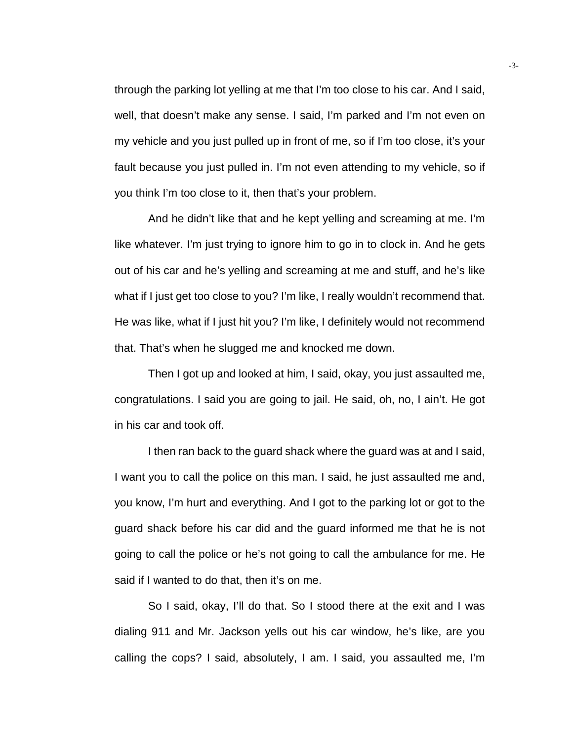through the parking lot yelling at me that I'm too close to his car. And I said, well, that doesn't make any sense. I said, I'm parked and I'm not even on my vehicle and you just pulled up in front of me, so if I'm too close, it's your fault because you just pulled in. I'm not even attending to my vehicle, so if you think I'm too close to it, then that's your problem.

And he didn't like that and he kept yelling and screaming at me. I'm like whatever. I'm just trying to ignore him to go in to clock in. And he gets out of his car and he's yelling and screaming at me and stuff, and he's like what if I just get too close to you? I'm like, I really wouldn't recommend that. He was like, what if I just hit you? I'm like, I definitely would not recommend that. That's when he slugged me and knocked me down.

Then I got up and looked at him, I said, okay, you just assaulted me, congratulations. I said you are going to jail. He said, oh, no, I ain't. He got in his car and took off.

I then ran back to the guard shack where the guard was at and I said, I want you to call the police on this man. I said, he just assaulted me and, you know, I'm hurt and everything. And I got to the parking lot or got to the guard shack before his car did and the guard informed me that he is not going to call the police or he's not going to call the ambulance for me. He said if I wanted to do that, then it's on me.

So I said, okay, I'll do that. So I stood there at the exit and I was dialing 911 and Mr. Jackson yells out his car window, he's like, are you calling the cops? I said, absolutely, I am. I said, you assaulted me, I'm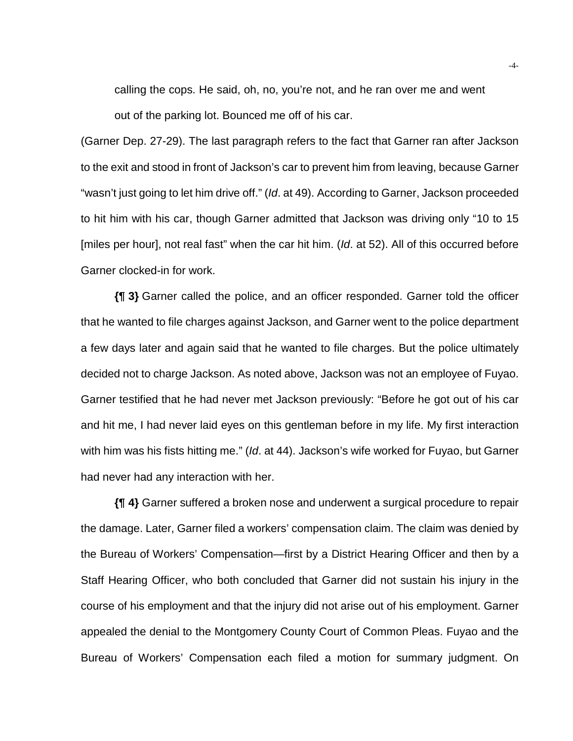calling the cops. He said, oh, no, you're not, and he ran over me and went out of the parking lot. Bounced me off of his car.

(Garner Dep. 27-29). The last paragraph refers to the fact that Garner ran after Jackson to the exit and stood in front of Jackson's car to prevent him from leaving, because Garner "wasn't just going to let him drive off." (*Id*. at 49). According to Garner, Jackson proceeded to hit him with his car, though Garner admitted that Jackson was driving only "10 to 15 [miles per hour], not real fast" when the car hit him. (*Id*. at 52). All of this occurred before Garner clocked-in for work.

**{¶ 3}** Garner called the police, and an officer responded. Garner told the officer that he wanted to file charges against Jackson, and Garner went to the police department a few days later and again said that he wanted to file charges. But the police ultimately decided not to charge Jackson. As noted above, Jackson was not an employee of Fuyao. Garner testified that he had never met Jackson previously: "Before he got out of his car and hit me, I had never laid eyes on this gentleman before in my life. My first interaction with him was his fists hitting me." (*Id*. at 44). Jackson's wife worked for Fuyao, but Garner had never had any interaction with her.

**{¶ 4}** Garner suffered a broken nose and underwent a surgical procedure to repair the damage. Later, Garner filed a workers' compensation claim. The claim was denied by the Bureau of Workers' Compensation—first by a District Hearing Officer and then by a Staff Hearing Officer, who both concluded that Garner did not sustain his injury in the course of his employment and that the injury did not arise out of his employment. Garner appealed the denial to the Montgomery County Court of Common Pleas. Fuyao and the Bureau of Workers' Compensation each filed a motion for summary judgment. On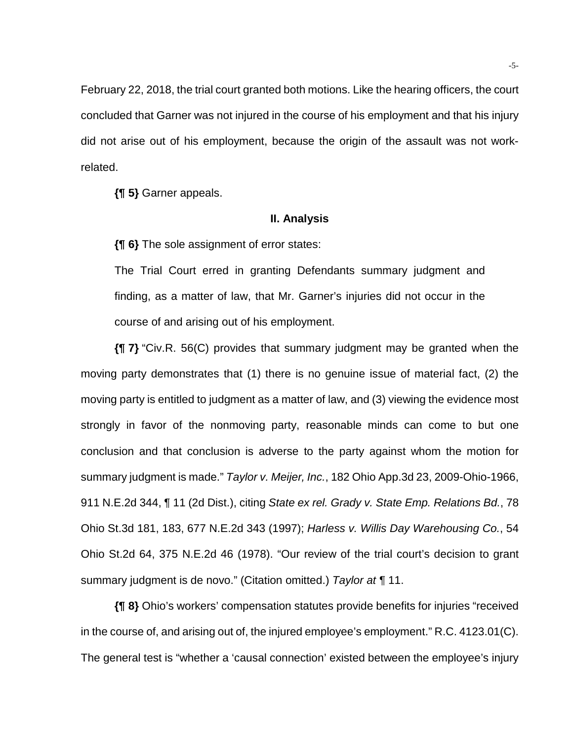February 22, 2018, the trial court granted both motions. Like the hearing officers, the court concluded that Garner was not injured in the course of his employment and that his injury did not arise out of his employment, because the origin of the assault was not workrelated.

**{¶ 5}** Garner appeals.

#### **II. Analysis**

**{¶ 6}** The sole assignment of error states:

The Trial Court erred in granting Defendants summary judgment and finding, as a matter of law, that Mr. Garner's injuries did not occur in the course of and arising out of his employment.

**{¶ 7}** "Civ.R. 56(C) provides that summary judgment may be granted when the moving party demonstrates that (1) there is no genuine issue of material fact, (2) the moving party is entitled to judgment as a matter of law, and (3) viewing the evidence most strongly in favor of the nonmoving party, reasonable minds can come to but one conclusion and that conclusion is adverse to the party against whom the motion for summary judgment is made." *Taylor v. Meijer, Inc.*, 182 Ohio App.3d 23, 2009-Ohio-1966, 911 N.E.2d 344, ¶ 11 (2d Dist.), citing *State ex rel. Grady v. State Emp. Relations Bd.*, 78 Ohio St.3d 181, 183, 677 N.E.2d 343 (1997); *Harless v. Willis Day Warehousing Co.*, 54 Ohio St.2d 64, 375 N.E.2d 46 (1978). "Our review of the trial court's decision to grant summary judgment is de novo." (Citation omitted.) *Taylor at ¶* 11.

**{¶ 8}** Ohio's workers' compensation statutes provide benefits for injuries "received in the course of, and arising out of, the injured employee's employment." R.C. 4123.01(C). The general test is "whether a 'causal connection' existed between the employee's injury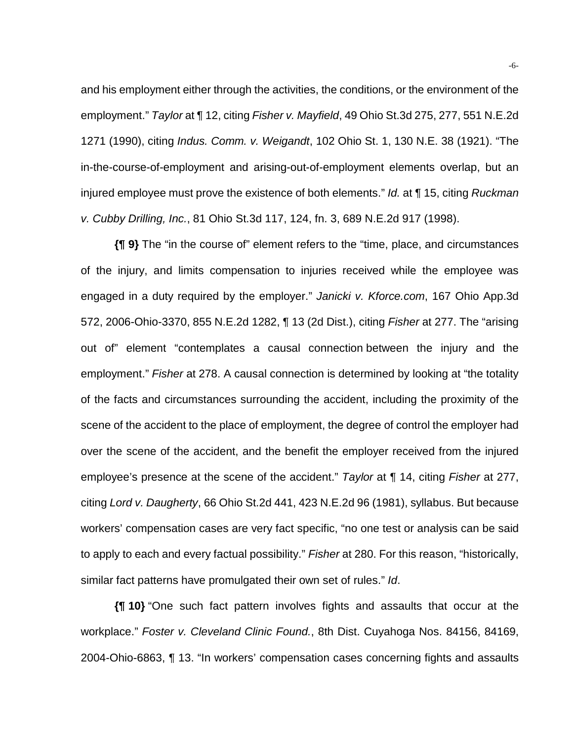and his employment either through the activities, the conditions, or the environment of the employment." *Taylor* at ¶ 12, citing *Fisher v. Mayfield*, 49 Ohio St.3d 275, 277, 551 N.E.2d 1271 (1990), citing *Indus. Comm. v. Weigandt*, 102 Ohio St. 1, 130 N.E. 38 (1921). "The in-the-course-of-employment and arising-out-of-employment elements overlap, but an injured employee must prove the existence of both elements." *Id.* at ¶ 15, citing *Ruckman v. Cubby Drilling, Inc.*, 81 Ohio St.3d 117, 124, fn. 3, 689 N.E.2d 917 (1998).

**{¶ 9}** The "in the course of" element refers to the "time, place, and circumstances of the injury, and limits compensation to injuries received while the employee was engaged in a duty required by the employer." *Janicki v. Kforce.com*, 167 Ohio App.3d 572, 2006-Ohio-3370, 855 N.E.2d 1282, ¶ 13 (2d Dist.), citing *Fisher* at 277. The "arising out of" element "contemplates a causal connection between the injury and the employment." *Fisher* at 278. A causal connection is determined by looking at "the totality of the facts and circumstances surrounding the accident, including the proximity of the scene of the accident to the place of employment, the degree of control the employer had over the scene of the accident, and the benefit the employer received from the injured employee's presence at the scene of the accident." *Taylor* at ¶ 14, citing *Fisher* at 277, citing *Lord v. Daugherty*, 66 Ohio St.2d 441, 423 N.E.2d 96 (1981), syllabus. But because workers' compensation cases are very fact specific, "no one test or analysis can be said to apply to each and every factual possibility." *Fisher* at 280. For this reason, "historically, similar fact patterns have promulgated their own set of rules." *Id*.

**{¶ 10}** "One such fact pattern involves fights and assaults that occur at the workplace." *Foster v. Cleveland Clinic Found.*, 8th Dist. Cuyahoga Nos. 84156, 84169, 2004-Ohio-6863, ¶ 13. "In workers' compensation cases concerning fights and assaults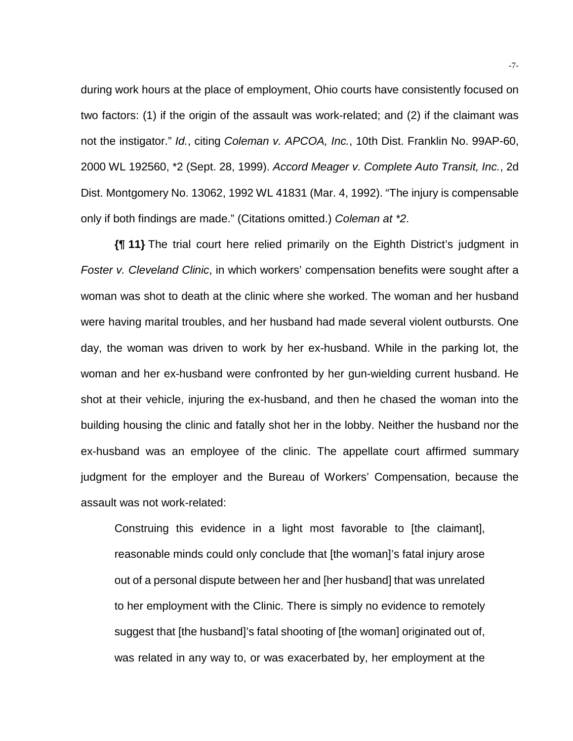during work hours at the place of employment, Ohio courts have consistently focused on two factors: (1) if the origin of the assault was work-related; and (2) if the claimant was not the instigator." *Id.*, citing *Coleman v. APCOA, Inc.*, 10th Dist. Franklin No. 99AP-60, 2000 WL 192560, \*2 (Sept. 28, 1999). *Accord Meager v. Complete Auto Transit, Inc.*, 2d Dist. Montgomery No. 13062, 1992 WL 41831 (Mar. 4, 1992). "The injury is compensable only if both findings are made." (Citations omitted.) *Coleman at \*2*.

**{¶ 11}** The trial court here relied primarily on the Eighth District's judgment in *Foster v. Cleveland Clinic*, in which workers' compensation benefits were sought after a woman was shot to death at the clinic where she worked. The woman and her husband were having marital troubles, and her husband had made several violent outbursts. One day, the woman was driven to work by her ex-husband. While in the parking lot, the woman and her ex-husband were confronted by her gun-wielding current husband. He shot at their vehicle, injuring the ex-husband, and then he chased the woman into the building housing the clinic and fatally shot her in the lobby. Neither the husband nor the ex-husband was an employee of the clinic. The appellate court affirmed summary judgment for the employer and the Bureau of Workers' Compensation, because the assault was not work-related:

Construing this evidence in a light most favorable to [the claimant], reasonable minds could only conclude that [the woman]'s fatal injury arose out of a personal dispute between her and [her husband] that was unrelated to her employment with the Clinic. There is simply no evidence to remotely suggest that [the husband]'s fatal shooting of [the woman] originated out of, was related in any way to, or was exacerbated by, her employment at the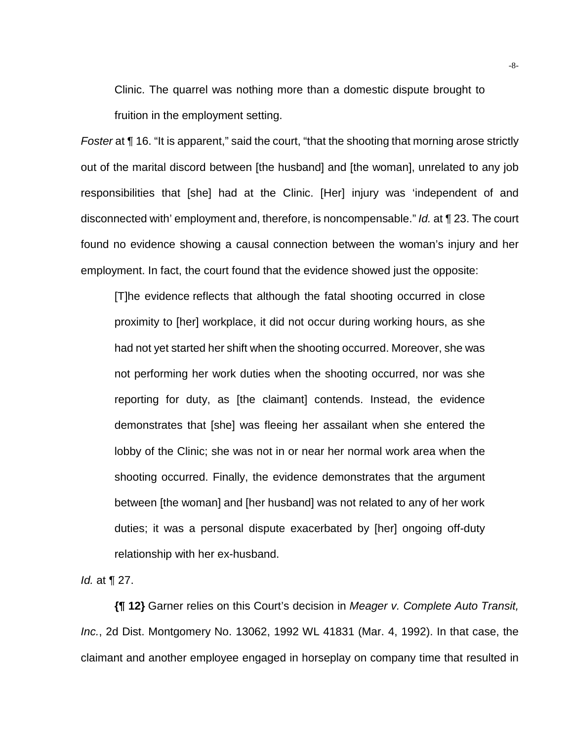Clinic. The quarrel was nothing more than a domestic dispute brought to fruition in the employment setting.

*Foster* at **[16.** "It is apparent," said the court, "that the shooting that morning arose strictly out of the marital discord between [the husband] and [the woman], unrelated to any job responsibilities that [she] had at the Clinic. [Her] injury was 'independent of and disconnected with' employment and, therefore, is noncompensable." *Id.* at ¶ 23. The court found no evidence showing a causal connection between the woman's injury and her employment. In fact, the court found that the evidence showed just the opposite:

[T]he evidence reflects that although the fatal shooting occurred in close proximity to [her] workplace, it did not occur during working hours, as she had not yet started her shift when the shooting occurred. Moreover, she was not performing her work duties when the shooting occurred, nor was she reporting for duty, as [the claimant] contends. Instead, the evidence demonstrates that [she] was fleeing her assailant when she entered the lobby of the Clinic; she was not in or near her normal work area when the shooting occurred. Finally, the evidence demonstrates that the argument between [the woman] and [her husband] was not related to any of her work duties; it was a personal dispute exacerbated by [her] ongoing off-duty relationship with her ex-husband.

*Id.* at ¶ 27.

**{¶ 12}** Garner relies on this Court's decision in *Meager v. Complete Auto Transit, Inc.*, 2d Dist. Montgomery No. 13062, 1992 WL 41831 (Mar. 4, 1992). In that case, the claimant and another employee engaged in horseplay on company time that resulted in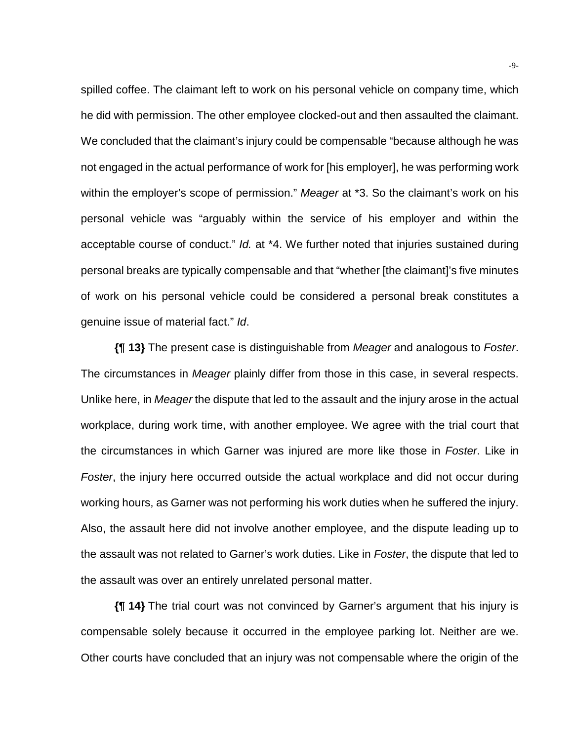spilled coffee. The claimant left to work on his personal vehicle on company time, which he did with permission. The other employee clocked-out and then assaulted the claimant. We concluded that the claimant's injury could be compensable "because although he was not engaged in the actual performance of work for [his employer], he was performing work within the employer's scope of permission." *Meager* at \*3. So the claimant's work on his personal vehicle was "arguably within the service of his employer and within the acceptable course of conduct." *Id.* at \*4. We further noted that injuries sustained during personal breaks are typically compensable and that "whether [the claimant]'s five minutes of work on his personal vehicle could be considered a personal break constitutes a genuine issue of material fact." *Id*.

**{¶ 13}** The present case is distinguishable from *Meager* and analogous to *Foster*. The circumstances in *Meager* plainly differ from those in this case, in several respects. Unlike here, in *Meager* the dispute that led to the assault and the injury arose in the actual workplace, during work time, with another employee. We agree with the trial court that the circumstances in which Garner was injured are more like those in *Foster*. Like in *Foster*, the injury here occurred outside the actual workplace and did not occur during working hours, as Garner was not performing his work duties when he suffered the injury. Also, the assault here did not involve another employee, and the dispute leading up to the assault was not related to Garner's work duties. Like in *Foster*, the dispute that led to the assault was over an entirely unrelated personal matter.

**{¶ 14}** The trial court was not convinced by Garner's argument that his injury is compensable solely because it occurred in the employee parking lot. Neither are we. Other courts have concluded that an injury was not compensable where the origin of the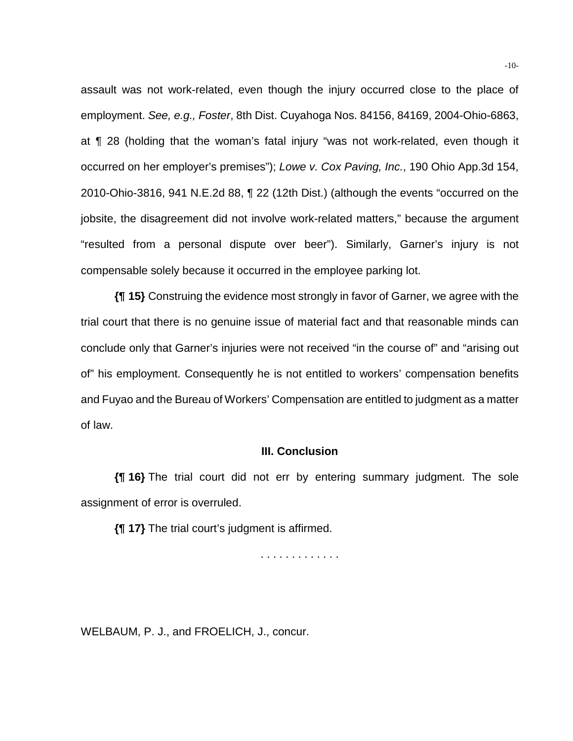assault was not work-related, even though the injury occurred close to the place of employment. *See, e.g., Foster*, 8th Dist. Cuyahoga Nos. 84156, 84169, 2004-Ohio-6863, at ¶ 28 (holding that the woman's fatal injury "was not work-related, even though it occurred on her employer's premises"); *Lowe v. Cox Paving, Inc.*, 190 Ohio App.3d 154, 2010-Ohio-3816, 941 N.E.2d 88, ¶ 22 (12th Dist.) (although the events "occurred on the jobsite, the disagreement did not involve work-related matters," because the argument "resulted from a personal dispute over beer"). Similarly, Garner's injury is not compensable solely because it occurred in the employee parking lot.

**{¶ 15}** Construing the evidence most strongly in favor of Garner, we agree with the trial court that there is no genuine issue of material fact and that reasonable minds can conclude only that Garner's injuries were not received "in the course of" and "arising out of" his employment. Consequently he is not entitled to workers' compensation benefits and Fuyao and the Bureau of Workers' Compensation are entitled to judgment as a matter of law.

### **III. Conclusion**

**{¶ 16}** The trial court did not err by entering summary judgment. The sole assignment of error is overruled.

**{¶ 17}** The trial court's judgment is affirmed.

. . . . . . . . . . . . .

WELBAUM, P. J., and FROELICH, J., concur.